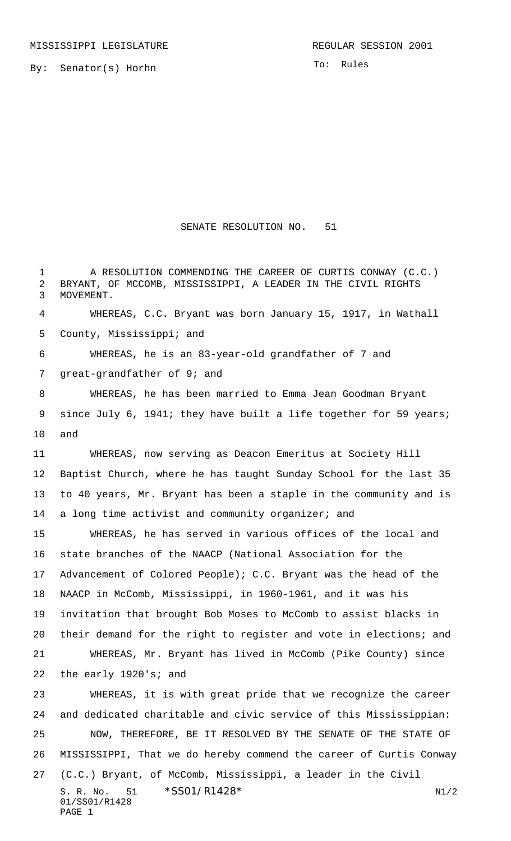By: Senator(s) Horhn

To: Rules

## SENATE RESOLUTION NO. 51

S. R. No. 51 \* SS01/R1428\* N1/2 01/SS01/R1428 A RESOLUTION COMMENDING THE CAREER OF CURTIS CONWAY (C.C.) BRYANT, OF MCCOMB, MISSISSIPPI, A LEADER IN THE CIVIL RIGHTS MOVEMENT. WHEREAS, C.C. Bryant was born January 15, 1917, in Wathall County, Mississippi; and WHEREAS, he is an 83-year-old grandfather of 7 and great-grandfather of 9; and WHEREAS, he has been married to Emma Jean Goodman Bryant 9 since July 6, 1941; they have built a life together for 59 years; and WHEREAS, now serving as Deacon Emeritus at Society Hill Baptist Church, where he has taught Sunday School for the last 35 to 40 years, Mr. Bryant has been a staple in the community and is 14 a long time activist and community organizer; and WHEREAS, he has served in various offices of the local and state branches of the NAACP (National Association for the Advancement of Colored People); C.C. Bryant was the head of the NAACP in McComb, Mississippi, in 1960-1961, and it was his invitation that brought Bob Moses to McComb to assist blacks in their demand for the right to register and vote in elections; and WHEREAS, Mr. Bryant has lived in McComb (Pike County) since the early 1920's; and WHEREAS, it is with great pride that we recognize the career and dedicated charitable and civic service of this Mississippian: NOW, THEREFORE, BE IT RESOLVED BY THE SENATE OF THE STATE OF MISSISSIPPI, That we do hereby commend the career of Curtis Conway (C.C.) Bryant, of McComb, Mississippi, a leader in the Civil

PAGE 1